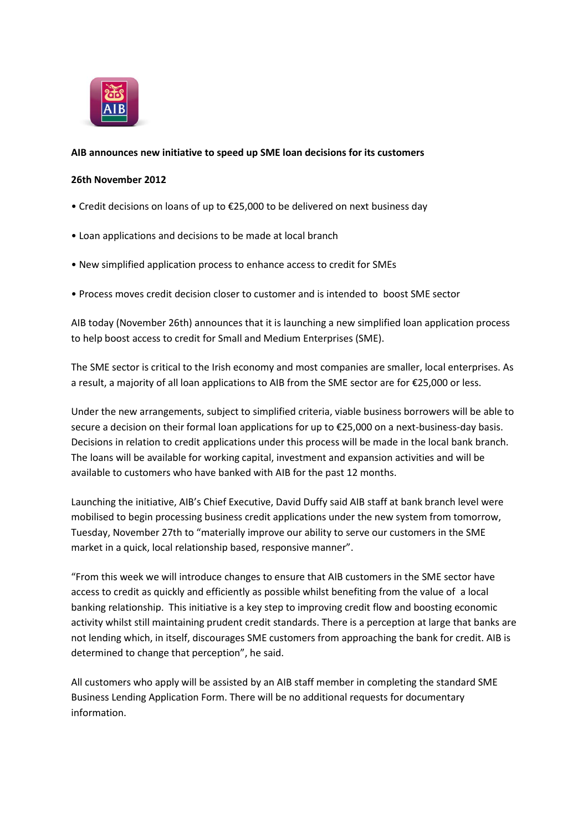

## **AIB announces new initiative to speed up SME loan decisions for its customers**

## **26th November 2012**

- Credit decisions on loans of up to €25,000 to be delivered on next business day
- Loan applications and decisions to be made at local branch
- New simplified application process to enhance access to credit for SMEs
- Process moves credit decision closer to customer and is intended to boost SME sector

AIB today (November 26th) announces that it is launching a new simplified loan application process to help boost access to credit for Small and Medium Enterprises (SME).

The SME sector is critical to the Irish economy and most companies are smaller, local enterprises. As a result, a majority of all loan applications to AIB from the SME sector are for €25,000 or less.

Under the new arrangements, subject to simplified criteria, viable business borrowers will be able to secure a decision on their formal loan applications for up to €25,000 on a next-business-day basis. Decisions in relation to credit applications under this process will be made in the local bank branch. The loans will be available for working capital, investment and expansion activities and will be available to customers who have banked with AIB for the past 12 months.

Launching the initiative, AIB's Chief Executive, David Duffy said AIB staff at bank branch level were mobilised to begin processing business credit applications under the new system from tomorrow, Tuesday, November 27th to "materially improve our ability to serve our customers in the SME market in a quick, local relationship based, responsive manner".

"From this week we will introduce changes to ensure that AIB customers in the SME sector have access to credit as quickly and efficiently as possible whilst benefiting from the value of a local banking relationship. This initiative is a key step to improving credit flow and boosting economic activity whilst still maintaining prudent credit standards. There is a perception at large that banks are not lending which, in itself, discourages SME customers from approaching the bank for credit. AIB is determined to change that perception", he said.

All customers who apply will be assisted by an AIB staff member in completing the standard SME Business Lending Application Form. There will be no additional requests for documentary information.